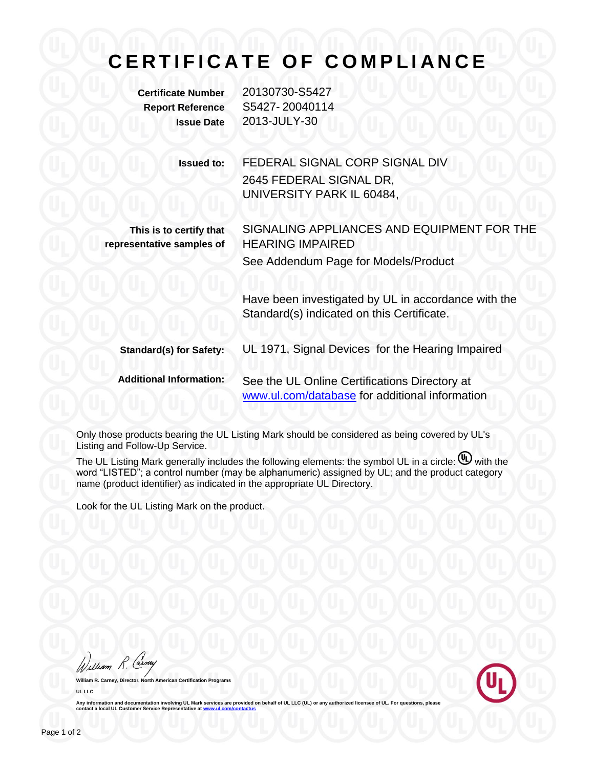## CERTIFICATE OF COMPLIANCE

**Certificate Number** 20130730-S5427 **Report Reference** S5427- 20040114 **Issue Date** 2013-JULY-30

> **Issued to:** FEDERAL SIGNAL CORP SIGNAL DIV 2645 FEDERAL SIGNAL DR, UNIVERSITY PARK IL 60484,

**This is to certify that representative samples of**

See Addendum Page for Models/Product

Have been investigated by UL in accordance with the Standard(s) indicated on this Certificate.

SIGNALING APPLIANCES AND EQUIPMENT FOR THE

**Standard(s) for Safety:** UL 1971, Signal Devices for the Hearing Impaired

**Additional Information:** See the UL Online Certifications Directory at [www.ul.com/database](http://www.ul.com/database) for additional information

HEARING IMPAIRED

Only those products bearing the UL Listing Mark should be considered as being covered by UL's Listing and Follow-Up Service.

The UL Listing Mark generally includes the following elements: the symbol UL in a circle:  $\mathbb{U}$  with the word "LISTED"; a control number (may be alphanumeric) assigned by UL; and the product category name (product identifier) as indicated in the appropriate UL Directory.

Look for the UL Listing Mark on the product.

William R. Carney

**William R. Carney, Director, North American Certification Programs UL LLC**



Any information and documentation involving UL Mark services are provided on behalf of UL LLC (UL) or any authorized licensee of UL. For questions, please<br>contact a local UL Customer Service Representative at www.ul.com/co